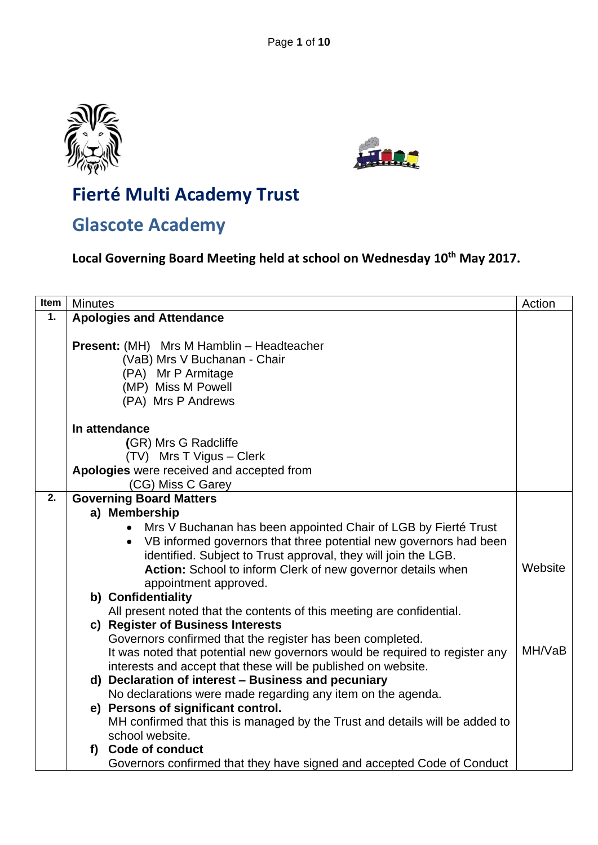



# **Fierté Multi Academy Trust**

# **Glascote Academy**

**Local Governing Board Meeting held at school on Wednesday 10th May 2017.**

| Item | <b>Minutes</b><br>Action                                                                                                                                                                                                                                                                                     |         |  |
|------|--------------------------------------------------------------------------------------------------------------------------------------------------------------------------------------------------------------------------------------------------------------------------------------------------------------|---------|--|
| 1.   | <b>Apologies and Attendance</b>                                                                                                                                                                                                                                                                              |         |  |
|      | Present: (MH) Mrs M Hamblin - Headteacher<br>(VaB) Mrs V Buchanan - Chair<br>(PA) Mr P Armitage<br>(MP) Miss M Powell                                                                                                                                                                                        |         |  |
|      | (PA) Mrs P Andrews                                                                                                                                                                                                                                                                                           |         |  |
|      | In attendance<br>(GR) Mrs G Radcliffe<br>(TV) Mrs T Vigus - Clerk                                                                                                                                                                                                                                            |         |  |
|      | Apologies were received and accepted from                                                                                                                                                                                                                                                                    |         |  |
| 2.   | (CG) Miss C Garey<br><b>Governing Board Matters</b>                                                                                                                                                                                                                                                          |         |  |
|      | a) Membership                                                                                                                                                                                                                                                                                                |         |  |
|      | Mrs V Buchanan has been appointed Chair of LGB by Fierté Trust<br>$\bullet$<br>• VB informed governors that three potential new governors had been<br>identified. Subject to Trust approval, they will join the LGB.<br>Action: School to inform Clerk of new governor details when<br>appointment approved. | Website |  |
|      | b) Confidentiality                                                                                                                                                                                                                                                                                           |         |  |
|      | All present noted that the contents of this meeting are confidential.<br>c) Register of Business Interests<br>Governors confirmed that the register has been completed.<br>It was noted that potential new governors would be required to register any                                                       | MH/VaB  |  |
|      | interests and accept that these will be published on website.                                                                                                                                                                                                                                                |         |  |
|      | d) Declaration of interest - Business and pecuniary                                                                                                                                                                                                                                                          |         |  |
|      | No declarations were made regarding any item on the agenda.                                                                                                                                                                                                                                                  |         |  |
|      | e) Persons of significant control.<br>MH confirmed that this is managed by the Trust and details will be added to<br>school website.                                                                                                                                                                         |         |  |
|      | f) Code of conduct<br>Governors confirmed that they have signed and accepted Code of Conduct                                                                                                                                                                                                                 |         |  |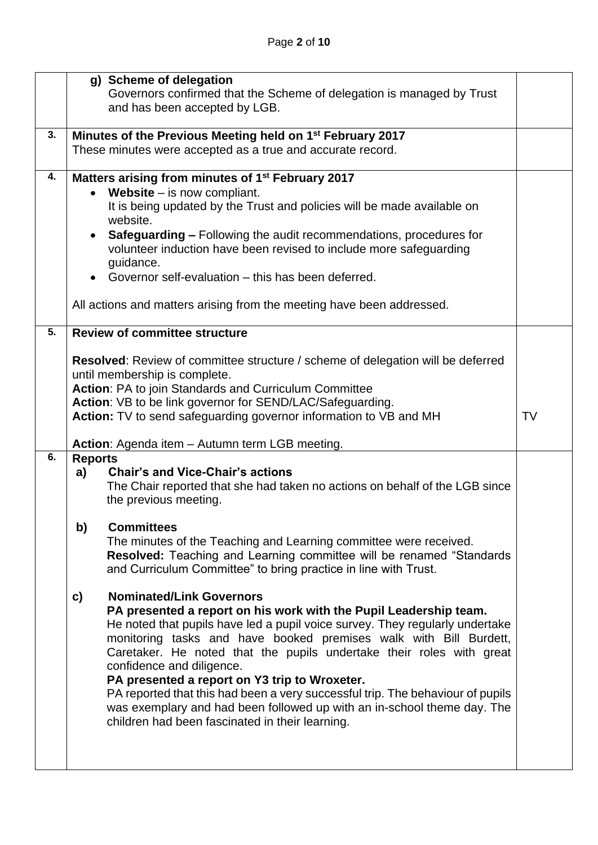|    | g) Scheme of delegation                                                                |                                                                                |    |  |  |
|----|----------------------------------------------------------------------------------------|--------------------------------------------------------------------------------|----|--|--|
|    |                                                                                        | Governors confirmed that the Scheme of delegation is managed by Trust          |    |  |  |
|    |                                                                                        | and has been accepted by LGB.                                                  |    |  |  |
|    |                                                                                        |                                                                                |    |  |  |
| 3. | Minutes of the Previous Meeting held on 1 <sup>st</sup> February 2017                  |                                                                                |    |  |  |
|    | These minutes were accepted as a true and accurate record.                             |                                                                                |    |  |  |
|    |                                                                                        |                                                                                |    |  |  |
|    | 4.<br>Matters arising from minutes of 1 <sup>st</sup> February 2017                    |                                                                                |    |  |  |
|    | <b>Website</b> $-$ is now compliant.                                                   |                                                                                |    |  |  |
|    |                                                                                        | It is being updated by the Trust and policies will be made available on        |    |  |  |
|    |                                                                                        | website.                                                                       |    |  |  |
|    |                                                                                        | <b>Safeguarding –</b> Following the audit recommendations, procedures for      |    |  |  |
|    |                                                                                        | volunteer induction have been revised to include more safeguarding             |    |  |  |
|    |                                                                                        | guidance.                                                                      |    |  |  |
|    |                                                                                        | Governor self-evaluation - this has been deferred.                             |    |  |  |
|    |                                                                                        | All actions and matters arising from the meeting have been addressed.          |    |  |  |
|    |                                                                                        |                                                                                |    |  |  |
| 5. |                                                                                        | <b>Review of committee structure</b>                                           |    |  |  |
|    |                                                                                        |                                                                                |    |  |  |
|    | <b>Resolved:</b> Review of committee structure / scheme of delegation will be deferred |                                                                                |    |  |  |
|    |                                                                                        | until membership is complete.                                                  |    |  |  |
|    | Action: PA to join Standards and Curriculum Committee                                  |                                                                                |    |  |  |
|    | Action: VB to be link governor for SEND/LAC/Safeguarding.                              |                                                                                |    |  |  |
|    |                                                                                        | Action: TV to send safeguarding governor information to VB and MH              | TV |  |  |
|    |                                                                                        |                                                                                |    |  |  |
|    | Action: Agenda item - Autumn term LGB meeting.<br><b>Reports</b>                       |                                                                                |    |  |  |
| 6. |                                                                                        |                                                                                |    |  |  |
|    |                                                                                        |                                                                                |    |  |  |
|    | a)                                                                                     | <b>Chair's and Vice-Chair's actions</b>                                        |    |  |  |
|    |                                                                                        | The Chair reported that she had taken no actions on behalf of the LGB since    |    |  |  |
|    |                                                                                        | the previous meeting.                                                          |    |  |  |
|    |                                                                                        |                                                                                |    |  |  |
|    | b)                                                                                     | <b>Committees</b>                                                              |    |  |  |
|    |                                                                                        | The minutes of the Teaching and Learning committee were received.              |    |  |  |
|    |                                                                                        | <b>Resolved:</b> Teaching and Learning committee will be renamed "Standards"   |    |  |  |
|    |                                                                                        | and Curriculum Committee" to bring practice in line with Trust.                |    |  |  |
|    |                                                                                        | <b>Nominated/Link Governors</b>                                                |    |  |  |
|    | c)                                                                                     | PA presented a report on his work with the Pupil Leadership team.              |    |  |  |
|    |                                                                                        | He noted that pupils have led a pupil voice survey. They regularly undertake   |    |  |  |
|    |                                                                                        | monitoring tasks and have booked premises walk with Bill Burdett,              |    |  |  |
|    |                                                                                        | Caretaker. He noted that the pupils undertake their roles with great           |    |  |  |
|    |                                                                                        | confidence and diligence.                                                      |    |  |  |
|    |                                                                                        | PA presented a report on Y3 trip to Wroxeter.                                  |    |  |  |
|    |                                                                                        | PA reported that this had been a very successful trip. The behaviour of pupils |    |  |  |
|    |                                                                                        | was exemplary and had been followed up with an in-school theme day. The        |    |  |  |
|    |                                                                                        | children had been fascinated in their learning.                                |    |  |  |
|    |                                                                                        |                                                                                |    |  |  |
|    |                                                                                        |                                                                                |    |  |  |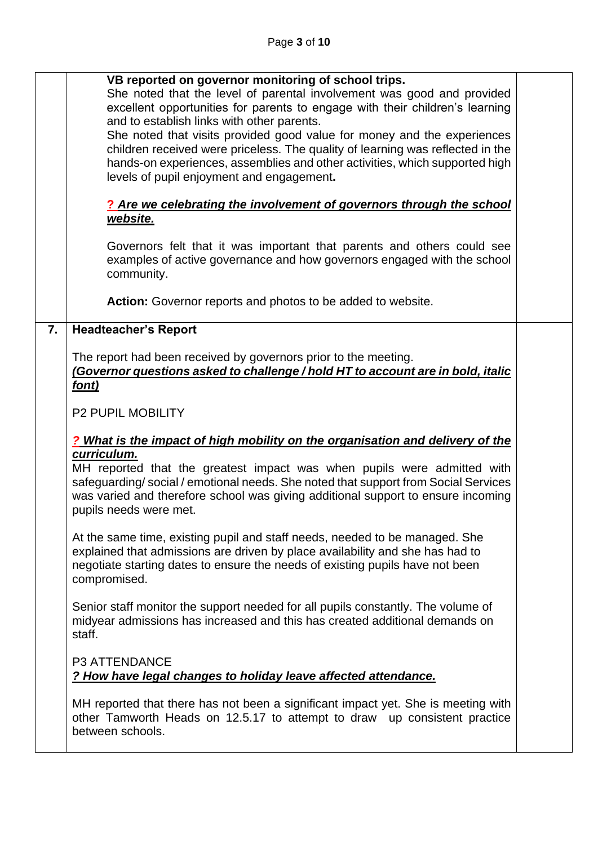|    | VB reported on governor monitoring of school trips.<br>She noted that the level of parental involvement was good and provided<br>excellent opportunities for parents to engage with their children's learning<br>and to establish links with other parents.                              |  |  |  |  |
|----|------------------------------------------------------------------------------------------------------------------------------------------------------------------------------------------------------------------------------------------------------------------------------------------|--|--|--|--|
|    | She noted that visits provided good value for money and the experiences<br>children received were priceless. The quality of learning was reflected in the<br>hands-on experiences, assemblies and other activities, which supported high<br>levels of pupil enjoyment and engagement.    |  |  |  |  |
|    | ? Are we celebrating the involvement of governors through the school                                                                                                                                                                                                                     |  |  |  |  |
|    | website.                                                                                                                                                                                                                                                                                 |  |  |  |  |
|    | Governors felt that it was important that parents and others could see<br>examples of active governance and how governors engaged with the school<br>community.                                                                                                                          |  |  |  |  |
|    | Action: Governor reports and photos to be added to website.                                                                                                                                                                                                                              |  |  |  |  |
| 7. | <b>Headteacher's Report</b>                                                                                                                                                                                                                                                              |  |  |  |  |
|    | The report had been received by governors prior to the meeting.<br>(Governor questions asked to challenge / hold HT to account are in bold, italic<br>font)                                                                                                                              |  |  |  |  |
|    | <b>P2 PUPIL MOBILITY</b>                                                                                                                                                                                                                                                                 |  |  |  |  |
|    | ? What is the impact of high mobility on the organisation and delivery of the                                                                                                                                                                                                            |  |  |  |  |
|    | curriculum.<br>MH reported that the greatest impact was when pupils were admitted with<br>safeguarding/social/emotional needs. She noted that support from Social Services<br>was varied and therefore school was giving additional support to ensure incoming<br>pupils needs were met. |  |  |  |  |
|    | At the same time, existing pupil and staff needs, needed to be managed. She<br>explained that admissions are driven by place availability and she has had to<br>negotiate starting dates to ensure the needs of existing pupils have not been<br>compromised.                            |  |  |  |  |
|    | Senior staff monitor the support needed for all pupils constantly. The volume of<br>midyear admissions has increased and this has created additional demands on<br>staff.                                                                                                                |  |  |  |  |
|    | P3 ATTENDANCE<br>? How have legal changes to holiday leave affected attendance.                                                                                                                                                                                                          |  |  |  |  |
|    | MH reported that there has not been a significant impact yet. She is meeting with<br>other Tamworth Heads on 12.5.17 to attempt to draw up consistent practice<br>between schools.                                                                                                       |  |  |  |  |
|    |                                                                                                                                                                                                                                                                                          |  |  |  |  |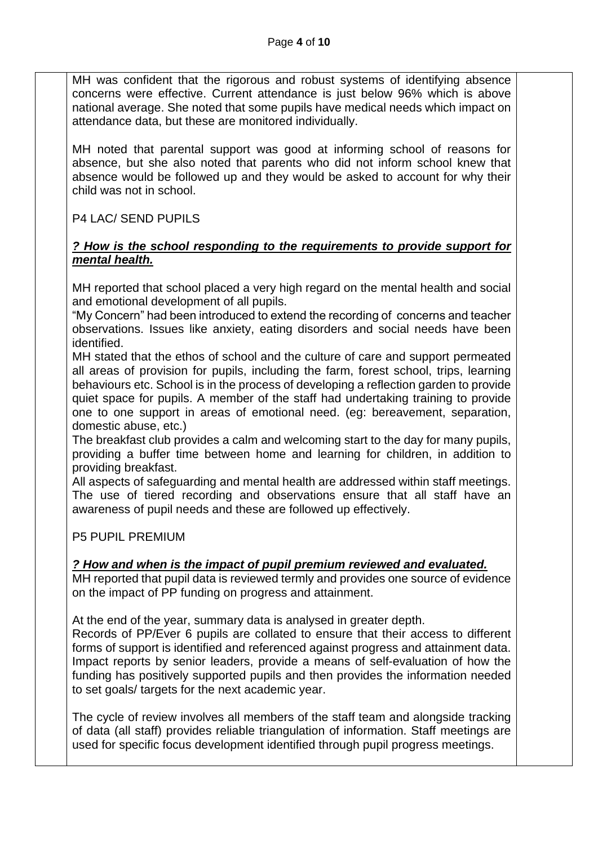MH was confident that the rigorous and robust systems of identifying absence concerns were effective. Current attendance is just below 96% which is above national average. She noted that some pupils have medical needs which impact on attendance data, but these are monitored individually.

MH noted that parental support was good at informing school of reasons for absence, but she also noted that parents who did not inform school knew that absence would be followed up and they would be asked to account for why their child was not in school.

P4 LAC/ SEND PUPILS

### *? How is the school responding to the requirements to provide support for mental health.*

MH reported that school placed a very high regard on the mental health and social and emotional development of all pupils.

"My Concern" had been introduced to extend the recording of concerns and teacher observations. Issues like anxiety, eating disorders and social needs have been identified.

MH stated that the ethos of school and the culture of care and support permeated all areas of provision for pupils, including the farm, forest school, trips, learning behaviours etc. School is in the process of developing a reflection garden to provide quiet space for pupils. A member of the staff had undertaking training to provide one to one support in areas of emotional need. (eg: bereavement, separation, domestic abuse, etc.)

The breakfast club provides a calm and welcoming start to the day for many pupils, providing a buffer time between home and learning for children, in addition to providing breakfast.

All aspects of safeguarding and mental health are addressed within staff meetings. The use of tiered recording and observations ensure that all staff have an awareness of pupil needs and these are followed up effectively.

P5 PUPIL PREMIUM

## *? How and when is the impact of pupil premium reviewed and evaluated.*

MH reported that pupil data is reviewed termly and provides one source of evidence on the impact of PP funding on progress and attainment.

At the end of the year, summary data is analysed in greater depth.

Records of PP/Ever 6 pupils are collated to ensure that their access to different forms of support is identified and referenced against progress and attainment data. Impact reports by senior leaders, provide a means of self-evaluation of how the funding has positively supported pupils and then provides the information needed to set goals/ targets for the next academic year.

The cycle of review involves all members of the staff team and alongside tracking of data (all staff) provides reliable triangulation of information. Staff meetings are used for specific focus development identified through pupil progress meetings.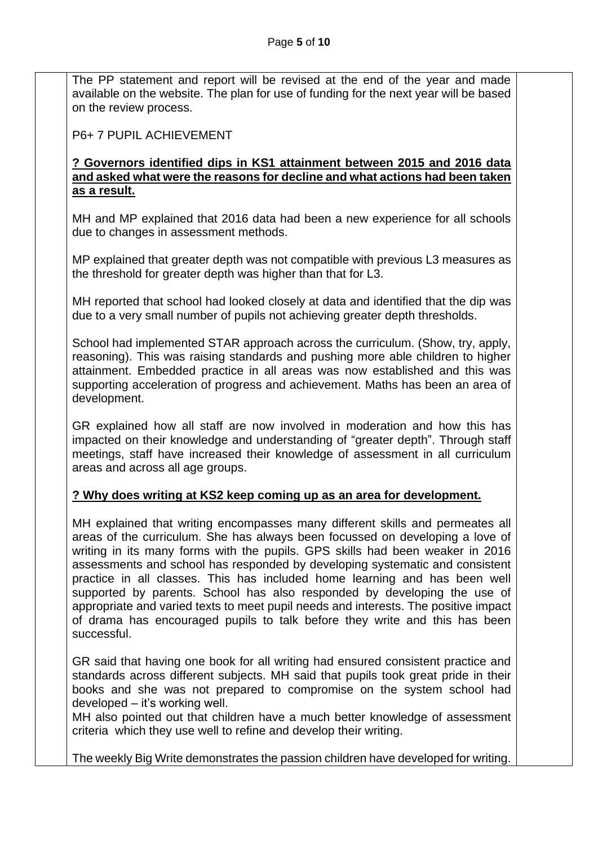The PP statement and report will be revised at the end of the year and made available on the website. The plan for use of funding for the next year will be based on the review process.

P6+ 7 PUPIL ACHIEVEMENT

### **? Governors identified dips in KS1 attainment between 2015 and 2016 data and asked what were the reasons for decline and what actions had been taken as a result.**

MH and MP explained that 2016 data had been a new experience for all schools due to changes in assessment methods.

MP explained that greater depth was not compatible with previous L3 measures as the threshold for greater depth was higher than that for L3.

MH reported that school had looked closely at data and identified that the dip was due to a very small number of pupils not achieving greater depth thresholds.

School had implemented STAR approach across the curriculum. (Show, try, apply, reasoning). This was raising standards and pushing more able children to higher attainment. Embedded practice in all areas was now established and this was supporting acceleration of progress and achievement. Maths has been an area of development.

GR explained how all staff are now involved in moderation and how this has impacted on their knowledge and understanding of "greater depth". Through staff meetings, staff have increased their knowledge of assessment in all curriculum areas and across all age groups.

## **? Why does writing at KS2 keep coming up as an area for development.**

MH explained that writing encompasses many different skills and permeates all areas of the curriculum. She has always been focussed on developing a love of writing in its many forms with the pupils. GPS skills had been weaker in 2016 assessments and school has responded by developing systematic and consistent practice in all classes. This has included home learning and has been well supported by parents. School has also responded by developing the use of appropriate and varied texts to meet pupil needs and interests. The positive impact of drama has encouraged pupils to talk before they write and this has been successful.

GR said that having one book for all writing had ensured consistent practice and standards across different subjects. MH said that pupils took great pride in their books and she was not prepared to compromise on the system school had developed – it's working well.

MH also pointed out that children have a much better knowledge of assessment criteria which they use well to refine and develop their writing.

The weekly Big Write demonstrates the passion children have developed for writing.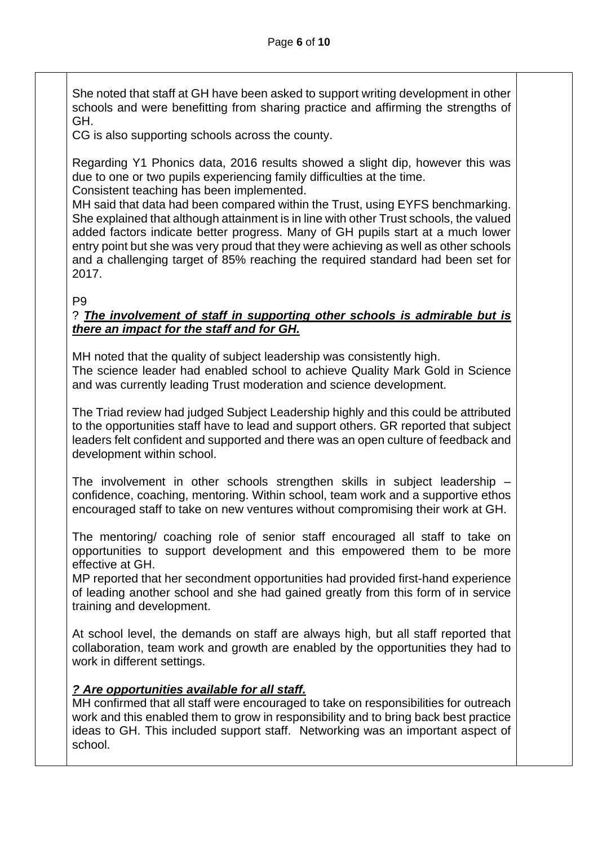She noted that staff at GH have been asked to support writing development in other schools and were benefitting from sharing practice and affirming the strengths of GH.

CG is also supporting schools across the county.

Regarding Y1 Phonics data, 2016 results showed a slight dip, however this was due to one or two pupils experiencing family difficulties at the time. Consistent teaching has been implemented.

MH said that data had been compared within the Trust, using EYFS benchmarking. She explained that although attainment is in line with other Trust schools, the valued added factors indicate better progress. Many of GH pupils start at a much lower entry point but she was very proud that they were achieving as well as other schools and a challenging target of 85% reaching the required standard had been set for 2017.

P9

#### ? *The involvement of staff in supporting other schools is admirable but is there an impact for the staff and for GH.*

MH noted that the quality of subject leadership was consistently high. The science leader had enabled school to achieve Quality Mark Gold in Science and was currently leading Trust moderation and science development.

The Triad review had judged Subject Leadership highly and this could be attributed to the opportunities staff have to lead and support others. GR reported that subject leaders felt confident and supported and there was an open culture of feedback and development within school.

The involvement in other schools strengthen skills in subject leadership – confidence, coaching, mentoring. Within school, team work and a supportive ethos encouraged staff to take on new ventures without compromising their work at GH.

The mentoring/ coaching role of senior staff encouraged all staff to take on opportunities to support development and this empowered them to be more effective at GH.

MP reported that her secondment opportunities had provided first-hand experience of leading another school and she had gained greatly from this form of in service training and development.

At school level, the demands on staff are always high, but all staff reported that collaboration, team work and growth are enabled by the opportunities they had to work in different settings.

## *? Are opportunities available for all staff.*

MH confirmed that all staff were encouraged to take on responsibilities for outreach work and this enabled them to grow in responsibility and to bring back best practice ideas to GH. This included support staff. Networking was an important aspect of school.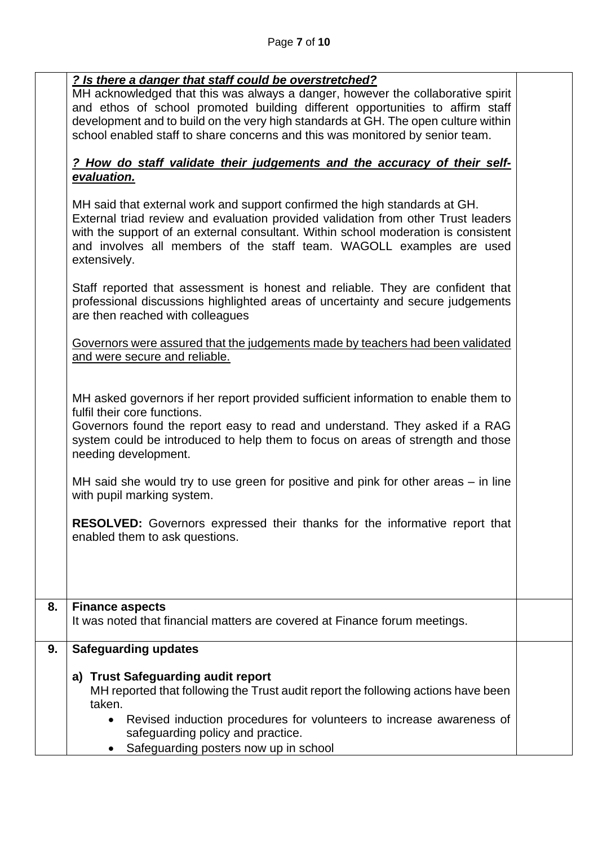### *? Is there a danger that staff could be overstretched?*

MH acknowledged that this was always a danger, however the collaborative spirit and ethos of school promoted building different opportunities to affirm staff development and to build on the very high standards at GH. The open culture within school enabled staff to share concerns and this was monitored by senior team.

## *? How do staff validate their judgements and the accuracy of their selfevaluation.*

|    | MH said that external work and support confirmed the high standards at GH.<br>External triad review and evaluation provided validation from other Trust leaders<br>with the support of an external consultant. Within school moderation is consistent<br>and involves all members of the staff team. WAGOLL examples are used<br>extensively. |  |  |  |
|----|-----------------------------------------------------------------------------------------------------------------------------------------------------------------------------------------------------------------------------------------------------------------------------------------------------------------------------------------------|--|--|--|
|    | Staff reported that assessment is honest and reliable. They are confident that<br>professional discussions highlighted areas of uncertainty and secure judgements<br>are then reached with colleagues                                                                                                                                         |  |  |  |
|    | Governors were assured that the judgements made by teachers had been validated<br>and were secure and reliable.                                                                                                                                                                                                                               |  |  |  |
|    | MH asked governors if her report provided sufficient information to enable them to<br>fulfil their core functions.<br>Governors found the report easy to read and understand. They asked if a RAG<br>system could be introduced to help them to focus on areas of strength and those<br>needing development.                                  |  |  |  |
|    | MH said she would try to use green for positive and pink for other areas – in line<br>with pupil marking system.                                                                                                                                                                                                                              |  |  |  |
|    | <b>RESOLVED:</b> Governors expressed their thanks for the informative report that<br>enabled them to ask questions.                                                                                                                                                                                                                           |  |  |  |
| 8. | <b>Finance aspects</b>                                                                                                                                                                                                                                                                                                                        |  |  |  |
|    | It was noted that financial matters are covered at Finance forum meetings.                                                                                                                                                                                                                                                                    |  |  |  |
| 9. | Safeguarding updates                                                                                                                                                                                                                                                                                                                          |  |  |  |
|    | <b>Trust Safeguarding audit report</b><br>a)<br>MH reported that following the Trust audit report the following actions have been<br>taken.                                                                                                                                                                                                   |  |  |  |
|    | Revised induction procedures for volunteers to increase awareness of<br>$\bullet$<br>safeguarding policy and practice.<br>Safeguarding posters now up in school                                                                                                                                                                               |  |  |  |
|    |                                                                                                                                                                                                                                                                                                                                               |  |  |  |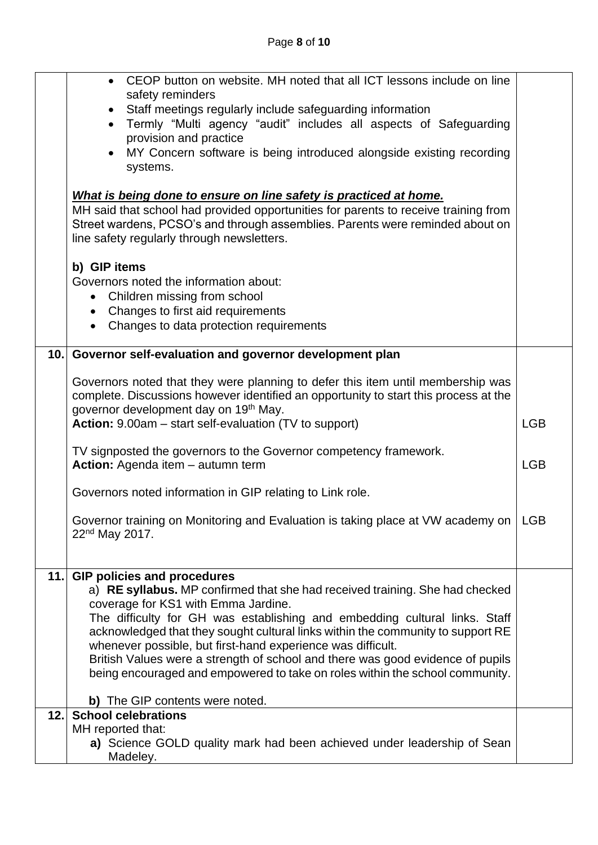|                                                                                                                                                                                                                                                                                         | CEOP button on website. MH noted that all ICT lessons include on line<br>safety reminders<br>Staff meetings regularly include safeguarding information                  |            |  |  |
|-----------------------------------------------------------------------------------------------------------------------------------------------------------------------------------------------------------------------------------------------------------------------------------------|-------------------------------------------------------------------------------------------------------------------------------------------------------------------------|------------|--|--|
|                                                                                                                                                                                                                                                                                         | Termly "Multi agency "audit" includes all aspects of Safeguarding<br>provision and practice                                                                             |            |  |  |
|                                                                                                                                                                                                                                                                                         | MY Concern software is being introduced alongside existing recording                                                                                                    |            |  |  |
| systems.                                                                                                                                                                                                                                                                                |                                                                                                                                                                         |            |  |  |
|                                                                                                                                                                                                                                                                                         |                                                                                                                                                                         |            |  |  |
| What is being done to ensure on line safety is practiced at home.<br>MH said that school had provided opportunities for parents to receive training from<br>Street wardens, PCSO's and through assemblies. Parents were reminded about on<br>line safety regularly through newsletters. |                                                                                                                                                                         |            |  |  |
|                                                                                                                                                                                                                                                                                         | b) GIP items                                                                                                                                                            |            |  |  |
|                                                                                                                                                                                                                                                                                         | Governors noted the information about:                                                                                                                                  |            |  |  |
|                                                                                                                                                                                                                                                                                         | • Children missing from school                                                                                                                                          |            |  |  |
|                                                                                                                                                                                                                                                                                         | Changes to first aid requirements<br>$\bullet$                                                                                                                          |            |  |  |
|                                                                                                                                                                                                                                                                                         | Changes to data protection requirements<br>$\bullet$                                                                                                                    |            |  |  |
|                                                                                                                                                                                                                                                                                         | 10. Governor self-evaluation and governor development plan                                                                                                              |            |  |  |
|                                                                                                                                                                                                                                                                                         |                                                                                                                                                                         |            |  |  |
|                                                                                                                                                                                                                                                                                         | Governors noted that they were planning to defer this item until membership was<br>complete. Discussions however identified an opportunity to start this process at the |            |  |  |
|                                                                                                                                                                                                                                                                                         | governor development day on 19th May.                                                                                                                                   |            |  |  |
|                                                                                                                                                                                                                                                                                         | Action: 9.00am - start self-evaluation (TV to support)                                                                                                                  | <b>LGB</b> |  |  |
|                                                                                                                                                                                                                                                                                         |                                                                                                                                                                         |            |  |  |
|                                                                                                                                                                                                                                                                                         | TV signposted the governors to the Governor competency framework.<br>Action: Agenda item - autumn term                                                                  |            |  |  |
|                                                                                                                                                                                                                                                                                         |                                                                                                                                                                         | <b>LGB</b> |  |  |
|                                                                                                                                                                                                                                                                                         | Governors noted information in GIP relating to Link role.                                                                                                               |            |  |  |
|                                                                                                                                                                                                                                                                                         | Governor training on Monitoring and Evaluation is taking place at VW academy on   LGB                                                                                   |            |  |  |
|                                                                                                                                                                                                                                                                                         | $22nd$ May 2017.                                                                                                                                                        |            |  |  |
|                                                                                                                                                                                                                                                                                         |                                                                                                                                                                         |            |  |  |
| 11.                                                                                                                                                                                                                                                                                     | <b>GIP policies and procedures</b>                                                                                                                                      |            |  |  |
|                                                                                                                                                                                                                                                                                         | a) RE syllabus. MP confirmed that she had received training. She had checked                                                                                            |            |  |  |
|                                                                                                                                                                                                                                                                                         | coverage for KS1 with Emma Jardine.<br>The difficulty for GH was establishing and embedding cultural links. Staff                                                       |            |  |  |
|                                                                                                                                                                                                                                                                                         | acknowledged that they sought cultural links within the community to support RE                                                                                         |            |  |  |
|                                                                                                                                                                                                                                                                                         | whenever possible, but first-hand experience was difficult.                                                                                                             |            |  |  |
|                                                                                                                                                                                                                                                                                         | British Values were a strength of school and there was good evidence of pupils                                                                                          |            |  |  |
|                                                                                                                                                                                                                                                                                         | being encouraged and empowered to take on roles within the school community.                                                                                            |            |  |  |
|                                                                                                                                                                                                                                                                                         | b) The GIP contents were noted.                                                                                                                                         |            |  |  |
| 12.1                                                                                                                                                                                                                                                                                    | <b>School celebrations</b>                                                                                                                                              |            |  |  |
|                                                                                                                                                                                                                                                                                         | MH reported that:                                                                                                                                                       |            |  |  |
|                                                                                                                                                                                                                                                                                         | a) Science GOLD quality mark had been achieved under leadership of Sean<br>Madeley.                                                                                     |            |  |  |
|                                                                                                                                                                                                                                                                                         |                                                                                                                                                                         |            |  |  |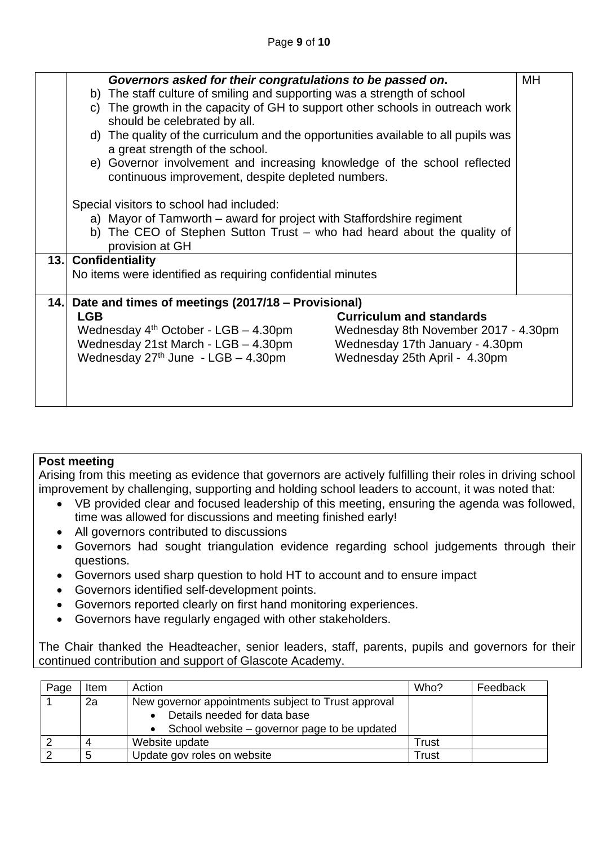|      | Governors asked for their congratulations to be passed on.<br>MH                 |                                                                                    |  |  |  |  |
|------|----------------------------------------------------------------------------------|------------------------------------------------------------------------------------|--|--|--|--|
|      | b) The staff culture of smiling and supporting was a strength of school          |                                                                                    |  |  |  |  |
|      | The growth in the capacity of GH to support other schools in outreach work<br>C) |                                                                                    |  |  |  |  |
|      | should be celebrated by all.                                                     |                                                                                    |  |  |  |  |
|      |                                                                                  | d) The quality of the curriculum and the opportunities available to all pupils was |  |  |  |  |
|      | a great strength of the school.                                                  |                                                                                    |  |  |  |  |
|      | e) Governor involvement and increasing knowledge of the school reflected         |                                                                                    |  |  |  |  |
|      | continuous improvement, despite depleted numbers.                                |                                                                                    |  |  |  |  |
|      |                                                                                  |                                                                                    |  |  |  |  |
|      | Special visitors to school had included:                                         |                                                                                    |  |  |  |  |
|      | a) Mayor of Tamworth – award for project with Staffordshire regiment             |                                                                                    |  |  |  |  |
|      | b) The CEO of Stephen Sutton Trust – who had heard about the quality of          |                                                                                    |  |  |  |  |
|      | provision at GH                                                                  |                                                                                    |  |  |  |  |
|      | 13. Confidentiality                                                              |                                                                                    |  |  |  |  |
|      | No items were identified as requiring confidential minutes                       |                                                                                    |  |  |  |  |
|      |                                                                                  |                                                                                    |  |  |  |  |
| 14.1 | Date and times of meetings (2017/18 – Provisional)                               |                                                                                    |  |  |  |  |
|      | <b>Curriculum and standards</b><br><b>LGB</b>                                    |                                                                                    |  |  |  |  |
|      | Wednesday $4th$ October - LGB $-$ 4.30pm<br>Wednesday 8th November 2017 - 4.30pm |                                                                                    |  |  |  |  |
|      | Wednesday 21st March - LGB - 4.30pm<br>Wednesday 17th January - 4.30pm           |                                                                                    |  |  |  |  |
|      | Wednesday $27th$ June - LGB - 4.30pm<br>Wednesday 25th April - 4.30pm            |                                                                                    |  |  |  |  |
|      |                                                                                  |                                                                                    |  |  |  |  |
|      |                                                                                  |                                                                                    |  |  |  |  |
|      |                                                                                  |                                                                                    |  |  |  |  |

## **Post meeting**

Arising from this meeting as evidence that governors are actively fulfilling their roles in driving school improvement by challenging, supporting and holding school leaders to account, it was noted that:

- VB provided clear and focused leadership of this meeting, ensuring the agenda was followed, time was allowed for discussions and meeting finished early!
- All governors contributed to discussions
- Governors had sought triangulation evidence regarding school judgements through their questions.
- Governors used sharp question to hold HT to account and to ensure impact
- Governors identified self-development points.
- Governors reported clearly on first hand monitoring experiences.
- Governors have regularly engaged with other stakeholders.

The Chair thanked the Headteacher, senior leaders, staff, parents, pupils and governors for their continued contribution and support of Glascote Academy.

| Page | ltem | Action                                              | Who?  | Feedback |
|------|------|-----------------------------------------------------|-------|----------|
|      | 2a   | New governor appointments subject to Trust approval |       |          |
|      |      | Details needed for data base                        |       |          |
|      |      | School website – governor page to be updated        |       |          |
|      |      | Website update                                      | Trust |          |
|      | 5    | Update gov roles on website                         | Trust |          |